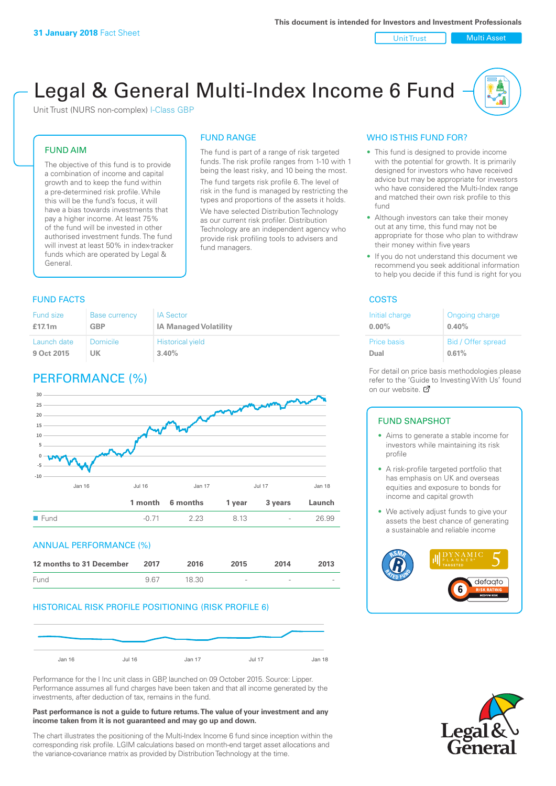Unit Trust | Multi Asset

# Legal & General Multi-Index Income 6 Fund

Unit Trust (NURS non-complex) I-Class GBP

#### FUND AIM

The objective of this fund is to provide a combination of income and capital growth and to keep the fund within a pre-determined risk profile. While this will be the fund's focus, it will have a bias towards investments that pay a higher income. At least 75% of the fund will be invested in other authorised investment funds. The fund will invest at least 50% in index-tracker funds which are operated by Legal & General.

#### FUND RANGE

The fund is part of a range of risk targeted funds. The risk profile ranges from 1-10 with 1 being the least risky, and 10 being the most. The fund targets risk profile 6. The level of risk in the fund is managed by restricting the

types and proportions of the assets it holds. We have selected Distribution Technology as our current risk profiler. Distribution Technology are an independent agency who provide risk profiling tools to advisers and fund managers.

#### **FUND FACTS** COSTS

| Fund size   | <b>Base currency</b> | <b>IA Sector</b>             |
|-------------|----------------------|------------------------------|
| £17.1m      | <b>GBP</b>           | <b>IA Managed Volatility</b> |
| Launch date | <b>Domicile</b>      | <b>Historical yield</b>      |
| 9 Oct 2015  | UK                   | 3.40%                        |

# PERFORMANCE (%)



#### ANNUAL PERFORMANCE (%)

| 12 months to 31 December | 2017 | 2016  | 2015   | 2014   | 2013                     |
|--------------------------|------|-------|--------|--------|--------------------------|
| Fund                     | 967  | 18.30 | $\sim$ | $\sim$ | $\overline{\phantom{a}}$ |

#### HISTORICAL RISK PROFILE POSITIONING (RISK PROFILE 6)



Performance for the I Inc unit class in GBP, launched on 09 October 2015. Source: Lipper. Performance assumes all fund charges have been taken and that all income generated by the investments, after deduction of tax, remains in the fund.

#### **Past performance is not a guide to future returns. The value of your investment and any income taken from it is not guaranteed and may go up and down.**

The chart illustrates the positioning of the Multi-Index Income 6 fund since inception within the corresponding risk profile. LGIM calculations based on month-end target asset allocations and the variance-covariance matrix as provided by Distribution Technology at the time.

#### WHO IS THIS FUND FOR?

- This fund is designed to provide income with the potential for growth. It is primarily designed for investors who have received advice but may be appropriate for investors who have considered the Multi-Index range and matched their own risk profile to this fund
- Although investors can take their money out at any time, this fund may not be appropriate for those who plan to withdraw their money within five years
- If you do not understand this document we recommend you seek additional information to help you decide if this fund is right for you

| Initial charge | Ongoing charge     |
|----------------|--------------------|
| $0.00\%$       | 0.40%              |
| Price basis    | Bid / Offer spread |
| Dual           | 0.61%              |

For detail on price basis methodologies please refer to the 'Gu[ide t](http://www.legalandgeneral.com/guide)o Investing With Us' found on our website. Ø

#### FUND SNAPSHOT

- Aims to generate a stable income for investors while maintaining its risk profile
- A risk-profile targeted portfolio that has emphasis on UK and overseas equities and exposure to bonds for income and capital growth
- We actively adjust funds to give your assets the best chance of generating a sustainable and reliable income



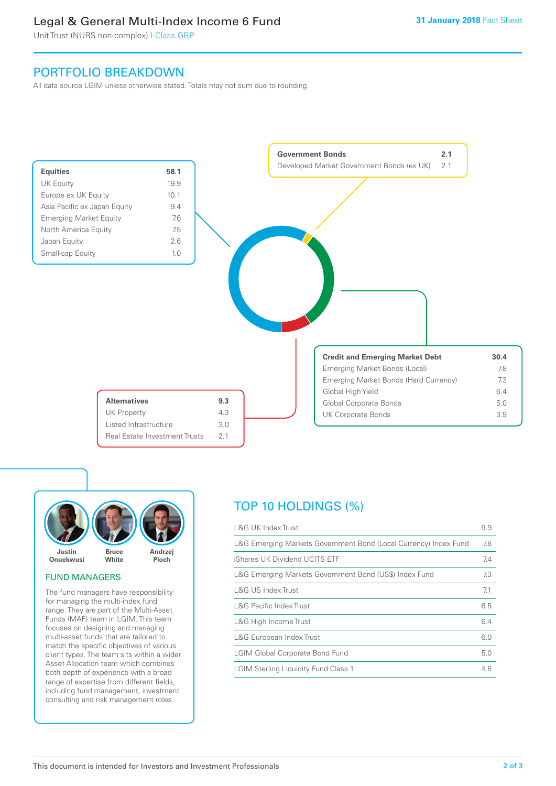# Legal & General Multi-Index Income 6 Fund

Unit Trust (NURS non-complex) I-Class GBP

## PORTFOLIO BREAKDOWN

All data source LGIM unless otherwise stated. Totals may not sum due to rounding.





#### FUND MANAGERS

The fund managers have responsibility for managing the multi-index fund range. They are part of the Multi-Asset Funds (MAF) team in LGIM. This team focuses on designing and managing multi-asset funds that are tailored to match the specific objectives of various client types. The team sits within a wider Asset Allocation team which combines both depth of experience with a broad range of expertise from different fields, including fund management, investment consulting and risk management roles.

# TOP 10 HOLDINGS (%)

| <b>L&amp;G UK Index Trust</b>                                    | 9.9 |
|------------------------------------------------------------------|-----|
| L&G Emerging Markets Government Bond (Local Currency) Index Fund | 7.8 |
| iShares UK Dividend UCITS ETF                                    | 7.4 |
| L&G Emerging Markets Government Bond (US\$) Index Fund           | 7.3 |
| L&G US Index Trust                                               | 7.1 |
| <b>L&amp;G Pacific Index Trust</b>                               | 6.5 |
| L&G High Income Trust                                            | 6.4 |
| L&G European Index Trust                                         | 6.0 |
| <b>LGIM Global Corporate Bond Fund</b>                           | 5.0 |
| <b>LGIM Sterling Liquidity Fund Class 1</b>                      | 4.6 |